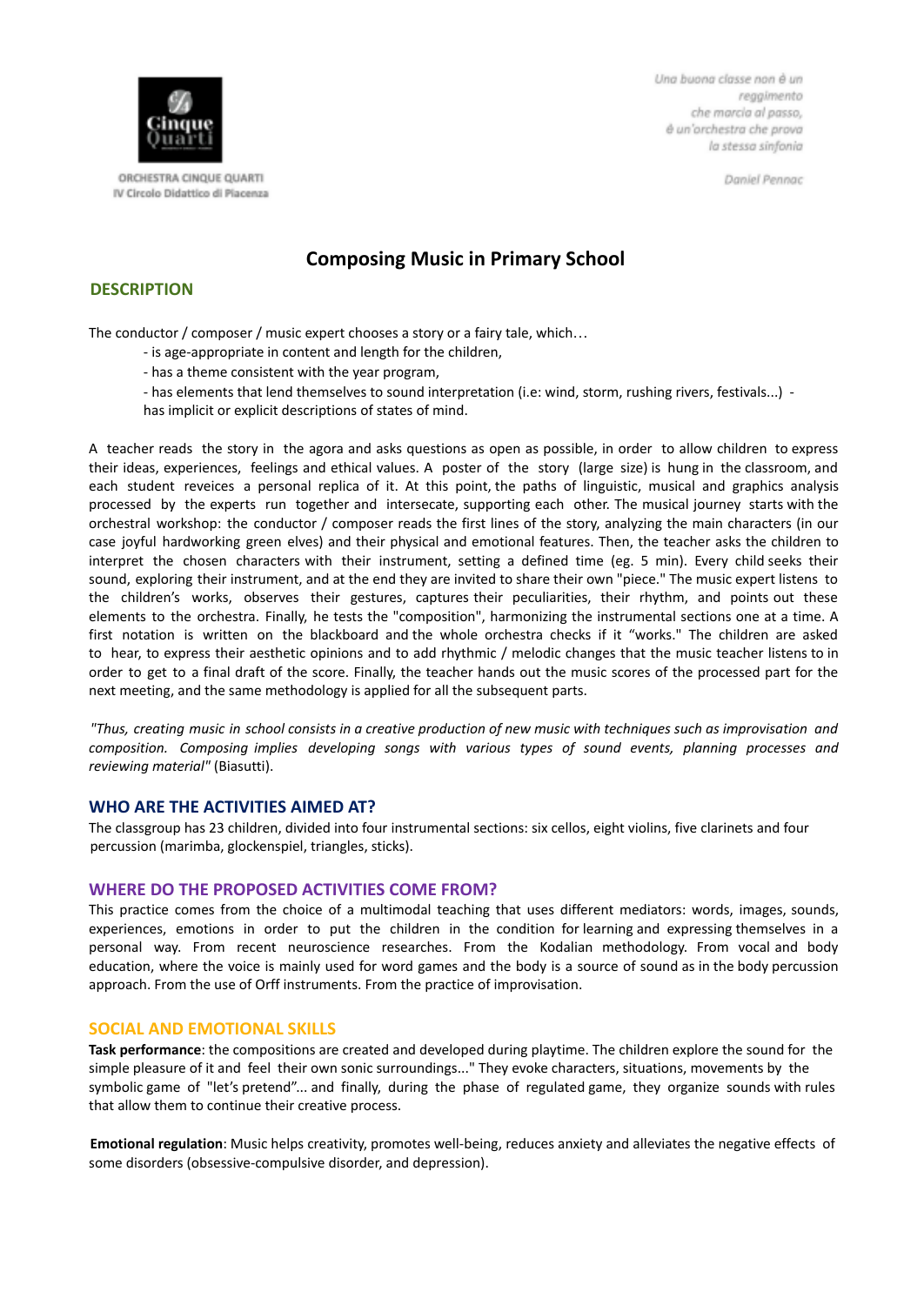

ORCHESTRA CINQUE QUARTI IV Circolo Didattico di Piacenza Una buona classe non è un reggimento che marcia al passo, è un'orchestra che prova la stessa sinfonia

Daniel Pennac

# **Composing Music in Primary School**

## **DESCRIPTION**

The conductor / composer / music expert chooses a story or a fairy tale, which…

- is age-appropriate in content and length for the children,
- has a theme consistent with the year program,
- has elements that lend themselves to sound interpretation (i.e: wind, storm, rushing rivers, festivals...) has implicit or explicit descriptions of states of mind.

A teacher reads the story in the agora and asks questions as open as possible, in order to allow children to express their ideas, experiences, feelings and ethical values. A poster of the story (large size) is hung in the classroom, and each student reveices a personal replica of it. At this point, the paths of linguistic, musical and graphics analysis processed by the experts run together and intersecate, supporting each other. The musical journey starts with the orchestral workshop: the conductor / composer reads the first lines of the story, analyzing the main characters (in our case joyful hardworking green elves) and their physical and emotional features. Then, the teacher asks the children to interpret the chosen characters with their instrument, setting a defined time (eg. 5 min). Every child seeks their sound, exploring their instrument, and at the end they are invited to share their own "piece." The music expert listens to the children's works, observes their gestures, captures their peculiarities, their rhythm, and points out these elements to the orchestra. Finally, he tests the "composition", harmonizing the instrumental sections one at a time. A first notation is written on the blackboard and the whole orchestra checks if it "works." The children are asked to hear, to express their aesthetic opinions and to add rhythmic / melodic changes that the music teacher listens to in order to get to a final draft of the score. Finally, the teacher hands out the music scores of the processed part for the next meeting, and the same methodology is applied for all the subsequent parts.

"Thus, creating music in school consists in a creative production of new music with techniques such as improvisation and *composition. Composing implies developing songs with various types of sound events, planning processes and reviewing material"* (Biasutti).

### **WHO ARE THE ACTIVITIES AIMED AT?**

The classgroup has 23 children, divided into four instrumental sections: six cellos, eight violins, five clarinets and four percussion (marimba, glockenspiel, triangles, sticks).

#### **WHERE DO THE PROPOSED ACTIVITIES COME FROM?**

This practice comes from the choice of a multimodal teaching that uses different mediators: words, images, sounds, experiences, emotions in order to put the children in the condition for learning and expressing themselves in a personal way. From recent neuroscience researches. From the Kodalian methodology. From vocal and body education, where the voice is mainly used for word games and the body is a source of sound as in the body percussion approach. From the use of Orff instruments. From the practice of improvisation.

#### **SOCIAL AND EMOTIONAL SKILLS**

**Task performance**: the compositions are created and developed during playtime. The children explore the sound for the simple pleasure of it and feel their own sonic surroundings..." They evoke characters, situations, movements by the symbolic game of "let's pretend"... and finally, during the phase of regulated game, they organize sounds with rules that allow them to continue their creative process.

**Emotional regulation**: Music helps creativity, promotes well-being, reduces anxiety and alleviates the negative effects of some disorders (obsessive-compulsive disorder, and depression).